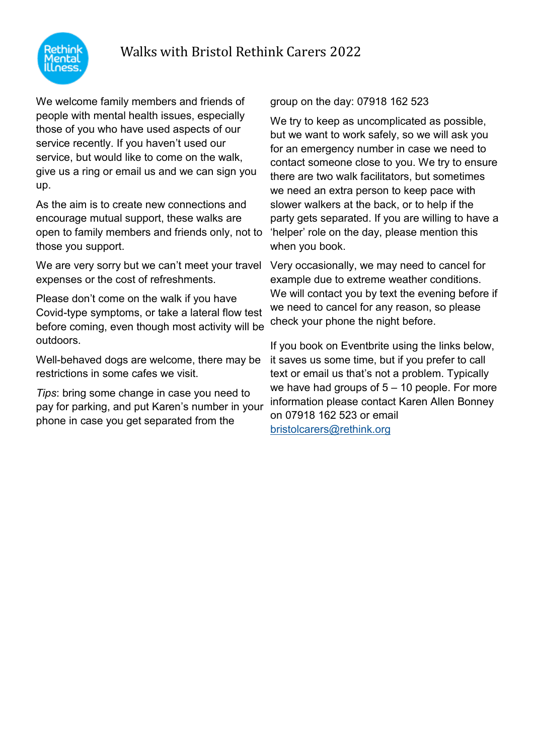# Walks with Bristol Rethink Carers 2022



We welcome family members and friends of people with mental health issues, especially those of you who have used aspects of our service recently. If you haven't used our service, but would like to come on the walk, give us a ring or email us and we can sign you up.

As the aim is to create new connections and encourage mutual support, these walks are open to family members and friends only, not to those you support.

We are very sorry but we can't meet your travel expenses or the cost of refreshments.

Please don't come on the walk if you have Covid-type symptoms, or take a lateral flow test before coming, even though most activity will be outdoors.

Well-behaved dogs are welcome, there may be restrictions in some cafes we visit.

*Tips*: bring some change in case you need to pay for parking, and put Karen's number in your phone in case you get separated from the

group on the day: 07918 162 523

We try to keep as uncomplicated as possible, but we want to work safely, so we will ask you for an emergency number in case we need to contact someone close to you. We try to ensure there are two walk facilitators, but sometimes we need an extra person to keep pace with slower walkers at the back, or to help if the party gets separated. If you are willing to have a 'helper' role on the day, please mention this when you book.

Very occasionally, we may need to cancel for example due to extreme weather conditions. We will contact you by text the evening before if we need to cancel for any reason, so please check your phone the night before.

If you book on Eventbrite using the links below, it saves us some time, but if you prefer to call text or email us that's not a problem. Typically we have had groups of  $5 - 10$  people. For more information please contact Karen Allen Bonney on 07918 162 523 or email [bristolcarers@rethink.org](mailto:bristolcarers@rethink.org)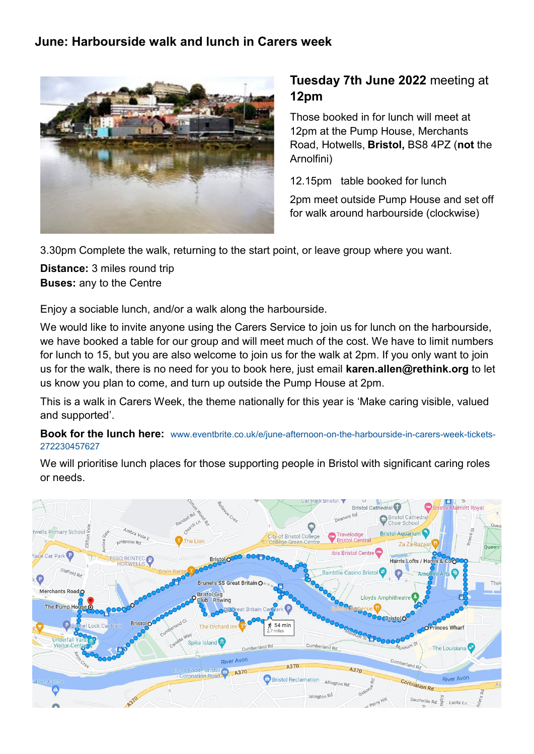#### **June: Harbourside walk and lunch in Carers week**



## **Tuesday 7th June 2022** meeting at **12pm**

Those booked in for lunch will meet at 12pm at the Pump House, Merchants Road, Hotwells, **Bristol,** BS8 4PZ (**not** the Arnolfini)

12.15pm table booked for lunch

2pm meet outside Pump House and set off for walk around harbourside (clockwise)

3.30pm Complete the walk, returning to the start point, or leave group where you want.

**Distance:** 3 miles round trip **Buses:** any to the Centre

Enjoy a sociable lunch, and/or a walk along the harbourside.

We would like to invite anyone using the Carers Service to join us for lunch on the harbourside, we have booked a table for our group and will meet much of the cost. We have to limit numbers for lunch to 15, but you are also welcome to join us for the walk at 2pm. If you only want to join us for the walk, there is no need for you to book here, just email **karen.allen@rethink.org** to let us know you plan to come, and turn up outside the Pump House at 2pm.

This is a walk in Carers Week, the theme nationally for this year is 'Make caring visible, valued and supported'.

**Book for the lunch here:** [www.eventbrite.co.uk/e/june](http://www.eventbrite.co.uk/e/june-afternoon-on-the-harbourside-in-carers-week-tickets-272230457627)-afternoon-on-the-harbourside-in-carers-week-tickets-[272230457627](http://www.eventbrite.co.uk/e/june-afternoon-on-the-harbourside-in-carers-week-tickets-272230457627)

We will prioritise lunch places for those supporting people in Bristol with significant caring roles or needs.

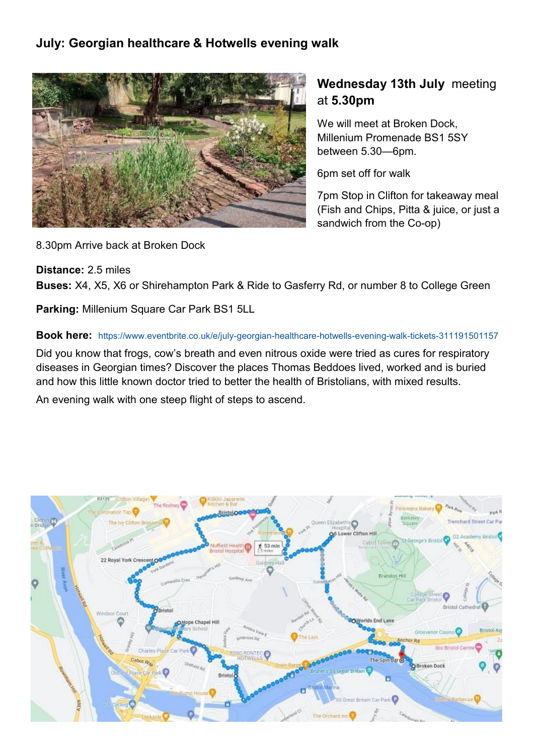### **July: Georgian healthcare & Hotwells evening walk**



## **Wednesday 13th July** meeting at **5.30pm**

We will meet at Broken Dock, Millenium Promenade [BS1 5SY](https://www.bing.com/local?lid=YN1029x3039243505638091937&id=YN1029x3039243505638091937&q=Broken+Dock+Kitchen+%26+Bar&name=Broken+Dock+Kitchen+%26+Bar&cp=51.44974899291992%7e-2.605797529220581&ppois=51.44974899291992_-2.605797529220581_Broken+Dock+Kitchen+%26) between 5.30—6pm.

6pm set off for walk

7pm Stop in Clifton for takeaway meal (Fish and Chips, Pitta & juice, or just a sandwich from the Co-op)

8.30pm Arrive back at Broken Dock

**Distance:** 2.5 miles

**Buses:** X4, X5, X6 or Shirehampton Park & Ride to Gasferry Rd, or number 8 to College Green

**Parking:** Millenium Square Car Park BS1 5LL

#### **Book here:** [https://www.eventbrite.co.uk/e/july](https://www.eventbrite.co.uk/e/july-georgian-healthcare-hotwells-evening-walk-tickets-311191501157)-georgian-healthcare-hotwells-evening-walk-tickets-311191501157

Did you know that frogs, cow's breath and even nitrous oxide were tried as cures for respiratory diseases in Georgian times? Discover the places Thomas Beddoes lived, worked and is buried and how this little known doctor tried to better the health of Bristolians, with mixed results.

An evening walk with one steep flight of steps to ascend.

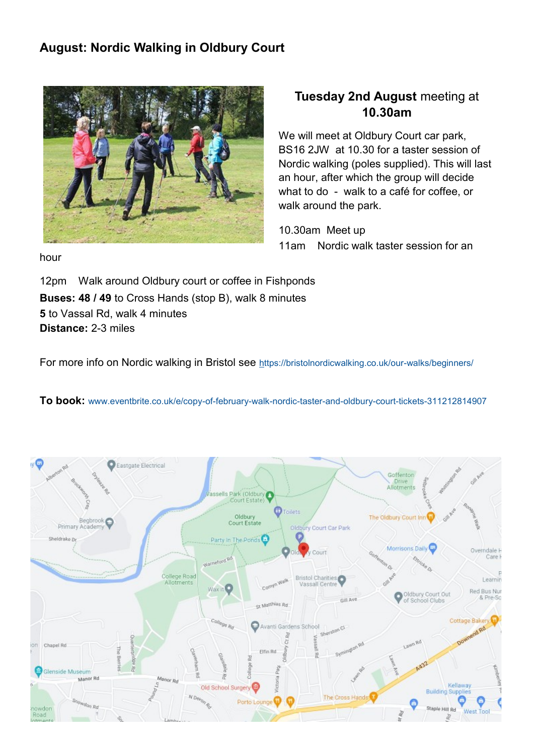### **August: Nordic Walking in Oldbury Court**



### **Tuesday 2nd August** meeting at **10.30am**

We will meet at Oldbury Court car park, BS16 2JW at 10.30 for a taster session of Nordic walking (poles supplied). This will last an hour, after which the group will decide what to do - walk to a café for coffee, or walk around the park.

10.30am Meet up 11am Nordic walk taster session for an

hour

12pm Walk around Oldbury court or coffee in Fishponds **Buses: 48 / 49** to Cross Hands (stop B), walk 8 minutes **5** to Vassal Rd, walk 4 minutes **Distance:** 2-3 miles

For more info on Nordic walking in Bristol see [https://bristolnordicwalking.co.uk/our](https://protect-eu.mimecast.com/s/J6PlC9Q6kUXLWVHEOZzS?domain=emea01.safelinks.protection.outlook.com)-walks/beginners/

#### **To book:** [www.eventbrite.co.uk/e/copy](https://www.eventbrite.co.uk/e/copy-of-february-walk-nordic-taster-and-oldbury-court-tickets-311212814907)-of-february-walk-nordic-taster-and-oldbury-court-tickets-311212814907